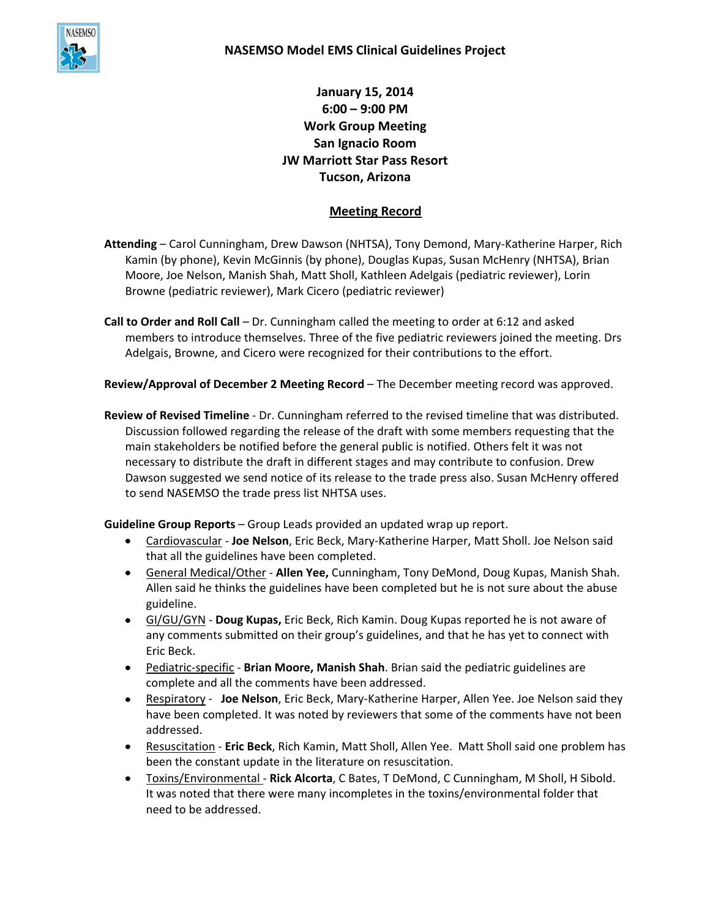

**January 15, 2014 6:00 – 9:00 PM Work Group Meeting San Ignacio Room JW Marriott Star Pass Resort Tucson, Arizona**

## **Meeting Record**

- **Attending**  Carol Cunningham, Drew Dawson (NHTSA), Tony Demond, Mary-Katherine Harper, Rich Kamin (by phone), Kevin McGinnis (by phone), Douglas Kupas, Susan McHenry (NHTSA), Brian Moore, Joe Nelson, Manish Shah, Matt Sholl, Kathleen Adelgais (pediatric reviewer), Lorin Browne (pediatric reviewer), Mark Cicero (pediatric reviewer)
- **Call to Order and Roll Call**  Dr. Cunningham called the meeting to order at 6:12 and asked members to introduce themselves. Three of the five pediatric reviewers joined the meeting. Drs Adelgais, Browne, and Cicero were recognized for their contributions to the effort.

**Review/Approval of December 2 Meeting Record** – The December meeting record was approved.

**Review of Revised Timeline** - Dr. Cunningham referred to the revised timeline that was distributed. Discussion followed regarding the release of the draft with some members requesting that the main stakeholders be notified before the general public is notified. Others felt it was not necessary to distribute the draft in different stages and may contribute to confusion. Drew Dawson suggested we send notice of its release to the trade press also. Susan McHenry offered to send NASEMSO the trade press list NHTSA uses.

**Guideline Group Reports** – Group Leads provided an updated wrap up report.

- Cardiovascular **Joe Nelson**, Eric Beck, Mary-Katherine Harper, Matt Sholl. Joe Nelson said that all the guidelines have been completed.
- General Medical/Other **Allen Yee,** Cunningham, Tony DeMond, Doug Kupas, Manish Shah. Allen said he thinks the guidelines have been completed but he is not sure about the abuse guideline.
- GI/GU/GYN **Doug Kupas,** Eric Beck, Rich Kamin. Doug Kupas reported he is not aware of any comments submitted on their group's guidelines, and that he has yet to connect with Eric Beck.
- Pediatric-specific **Brian Moore, Manish Shah**. Brian said the pediatric guidelines are complete and all the comments have been addressed.
- **Respiratory Joe Nelson**, Eric Beck, Mary-Katherine Harper, Allen Yee. Joe Nelson said they have been completed. It was noted by reviewers that some of the comments have not been addressed.
- Resuscitation **Eric Beck**, Rich Kamin, Matt Sholl, Allen Yee. Matt Sholl said one problem has been the constant update in the literature on resuscitation.
- Toxins/Environmental **Rick Alcorta**, C Bates, T DeMond, C Cunningham, M Sholl, H Sibold. It was noted that there were many incompletes in the toxins/environmental folder that need to be addressed.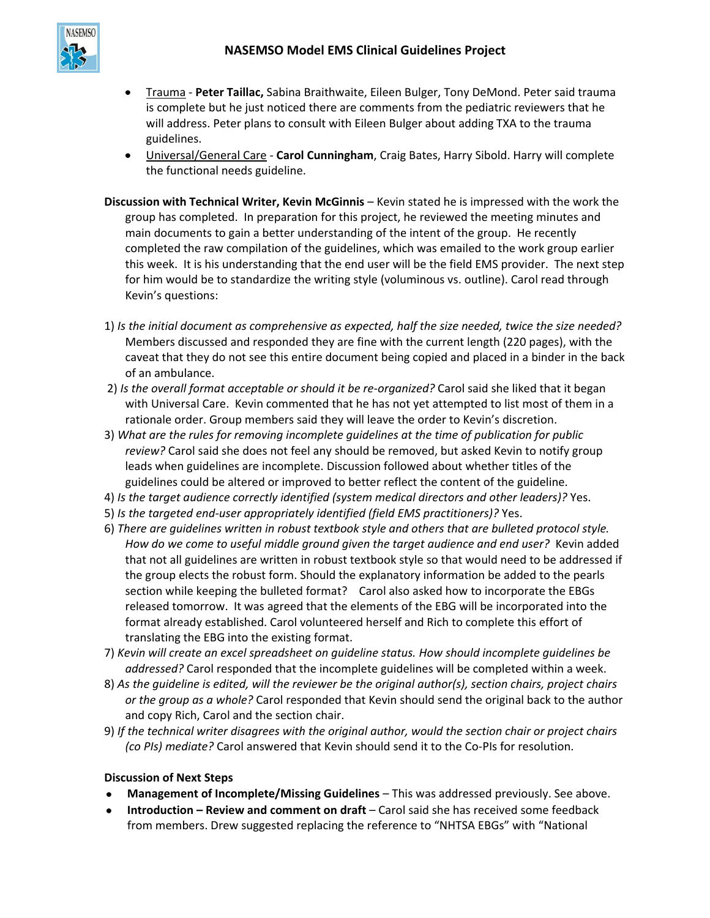

- Trauma **Peter Taillac,** Sabina Braithwaite, Eileen Bulger, Tony DeMond. Peter said trauma  $\bullet$ is complete but he just noticed there are comments from the pediatric reviewers that he will address. Peter plans to consult with Eileen Bulger about adding TXA to the trauma guidelines.
- Universal/General Care **Carol Cunningham**, Craig Bates, Harry Sibold. Harry will complete the functional needs guideline.
- **Discussion with Technical Writer, Kevin McGinnis** Kevin stated he is impressed with the work the group has completed. In preparation for this project, he reviewed the meeting minutes and main documents to gain a better understanding of the intent of the group. He recently completed the raw compilation of the guidelines, which was emailed to the work group earlier this week. It is his understanding that the end user will be the field EMS provider. The next step for him would be to standardize the writing style (voluminous vs. outline). Carol read through Kevin's questions:
- 1) *Is the initial document as comprehensive as expected, half the size needed, twice the size needed?* Members discussed and responded they are fine with the current length (220 pages), with the caveat that they do not see this entire document being copied and placed in a binder in the back of an ambulance.
- 2) *Is the overall format acceptable or should it be re-organized?* Carol said she liked that it began with Universal Care. Kevin commented that he has not yet attempted to list most of them in a rationale order. Group members said they will leave the order to Kevin's discretion.
- 3) *What are the rules for removing incomplete guidelines at the time of publication for public review?* Carol said she does not feel any should be removed, but asked Kevin to notify group leads when guidelines are incomplete. Discussion followed about whether titles of the guidelines could be altered or improved to better reflect the content of the guideline.
- 4) *Is the target audience correctly identified (system medical directors and other leaders)?* Yes.
- 5) *Is the targeted end-user appropriately identified (field EMS practitioners)?* Yes.
- 6) *There are guidelines written in robust textbook style and others that are bulleted protocol style. How do we come to useful middle ground given the target audience and end user?* Kevin added that not all guidelines are written in robust textbook style so that would need to be addressed if the group elects the robust form. Should the explanatory information be added to the pearls section while keeping the bulleted format? Carol also asked how to incorporate the EBGs released tomorrow. It was agreed that the elements of the EBG will be incorporated into the format already established. Carol volunteered herself and Rich to complete this effort of translating the EBG into the existing format.
- 7) *Kevin will create an excel spreadsheet on guideline status. How should incomplete guidelines be addressed?* Carol responded that the incomplete guidelines will be completed within a week.
- 8) *As the guideline is edited, will the reviewer be the original author(s), section chairs, project chairs or the group as a whole?* Carol responded that Kevin should send the original back to the author and copy Rich, Carol and the section chair.
- 9) *If the technical writer disagrees with the original author, would the section chair or project chairs (co PIs) mediate?* Carol answered that Kevin should send it to the Co-PIs for resolution.

## **Discussion of Next Steps**

- **Management of Incomplete/Missing Guidelines** This was addressed previously. See above.
- **Introduction – Review and comment on draft** Carol said she has received some feedback from members. Drew suggested replacing the reference to "NHTSA EBGs" with "National